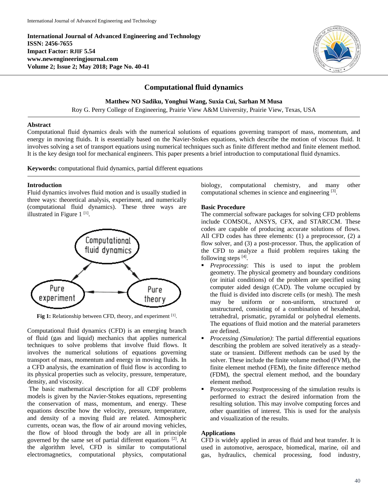**International Journal of Advanced Engineering and Technology ISSN: 2456-7655 Impact Factor: RJIF 5.54 www.newengineeringjournal.com Volume 2; Issue 2; May 2018; Page No. 40-41**



# **Computational fluid dynamics**

**Matthew NO Sadiku, Yonghui Wang, Suxia Cui, Sarhan M Musa**

Roy G. Perry College of Engineering, Prairie View A&M University, Prairie View, Texas, USA

#### **Abstract**

Computational fluid dynamics deals with the numerical solutions of equations governing transport of mass, momentum, and energy in moving fluids. It is essentially based on the Navier-Stokes equations, which describe the motion of viscous fluid. It involves solving a set of transport equations using numerical techniques such as finite different method and finite element method. It is the key design tool for mechanical engineers. This paper presents a brief introduction to computational fluid dynamics.

**Keywords:** computational fluid dynamics, partial different equations

## **Introduction**

Fluid dynamics involves fluid motion and is usually studied in three ways: theoretical analysis, experiment, and numerically (computational fluid dynamics). These three ways are illustrated in Figure  $1<sup>[1]</sup>$ .



Fig 1: Relationship between CFD, theory, and experiment [1].

Computational fluid dynamics (CFD) is an emerging branch of fluid (gas and liquid) mechanics that applies numerical techniques to solve problems that involve fluid flows. It involves the numerical solutions of equations governing transport of mass, momentum and energy in moving fluids. In a CFD analysis, the examination of fluid flow is according to its physical properties such as velocity, pressure, temperature, density, and viscosity.

The basic mathematical description for all CDF problems models is given by the Navier-Stokes equations, representing the conservation of mass, momentum, and energy. These equations describe how the velocity, pressure, temperature, and density of a moving fluid are related. Atmospheric currents, ocean was, the flow of air around moving vehicles, the flow of blood through the body are all in principle governed by the same set of partial different equations [2]. At the algorithm level, CFD is similar to computational electromagnetics, computational physics, computational

biology, computational chemistry, and many other computational schemes in science and engineering [3].

## **Basic Procedure**

The commercial software packages for solving CFD problems include COMSOL, ANSYS, CFX, and STARCCM. These codes are capable of producing accurate solutions of flows. All CFD codes has three elements: (1) a preprocessor, (2) a flow solver, and (3) a post-processor. Thus, the application of the CFD to analyze a fluid problem requires taking the following steps  $[4]$ .

- **Preprocessing:** This is used to input the problem geometry. The physical geometry and boundary conditions (or initial conditions) of the problem are specified using computer aided design (CAD). The volume occupied by the fluid is divided into discrete cells (or mesh). The mesh may be uniform or non-uniform, structured or unstructured, consisting of a combination of hexahedral, tetrahedral, prismatic, pyramidal or polyhedral elements. The equations of fluid motion and the material parameters are defined.
- *Processing (Simulation)*: The partial differential equations describing the problem are solved iteratively as a steadystate or transient. Different methods can be used by the solver. These include the finite volume method (FVM), the finite element method (FEM), the finite difference method (FDM), the spectral element method, and the boundary element method.
- P*ostprocessing*: Postprocessing of the simulation results is performed to extract the desired information from the resulting solution. This may involve computing forces and other quantities of interest. This is used for the analysis and visualization of the results.

## **Applications**

CFD is widely applied in areas of fluid and heat transfer. It is used in automotive, aerospace, biomedical, marine, oil and gas, hydraulics, chemical processing, food industry,